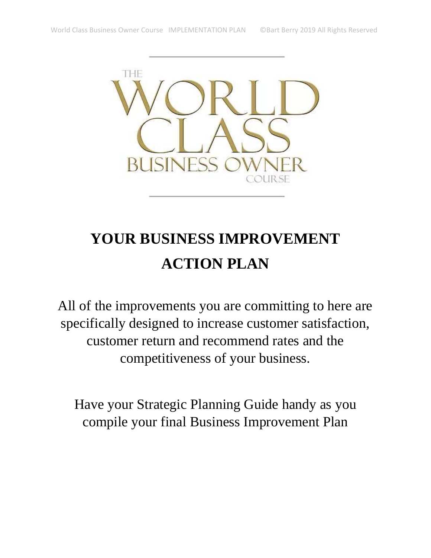

## **YOUR BUSINESS IMPROVEMENT ACTION PLAN**

All of the improvements you are committing to here are specifically designed to increase customer satisfaction, customer return and recommend rates and the competitiveness of your business.

Have your Strategic Planning Guide handy as you compile your final Business Improvement Plan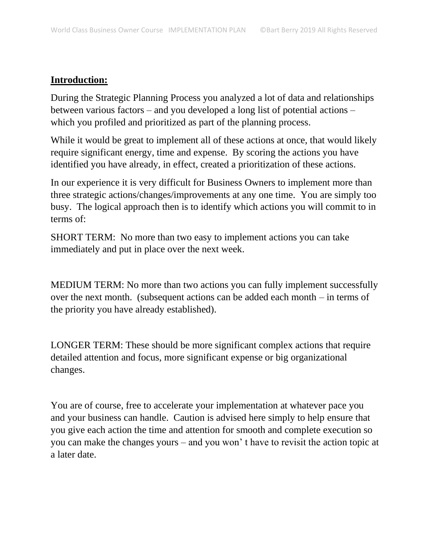## **Introduction:**

During the Strategic Planning Process you analyzed a lot of data and relationships between various factors – and you developed a long list of potential actions – which you profiled and prioritized as part of the planning process.

While it would be great to implement all of these actions at once, that would likely require significant energy, time and expense. By scoring the actions you have identified you have already, in effect, created a prioritization of these actions.

In our experience it is very difficult for Business Owners to implement more than three strategic actions/changes/improvements at any one time. You are simply too busy. The logical approach then is to identify which actions you will commit to in terms of:

SHORT TERM: No more than two easy to implement actions you can take immediately and put in place over the next week.

MEDIUM TERM: No more than two actions you can fully implement successfully over the next month. (subsequent actions can be added each month – in terms of the priority you have already established).

LONGER TERM: These should be more significant complex actions that require detailed attention and focus, more significant expense or big organizational changes.

You are of course, free to accelerate your implementation at whatever pace you and your business can handle. Caution is advised here simply to help ensure that you give each action the time and attention for smooth and complete execution so you can make the changes yours – and you won' t have to revisit the action topic at a later date.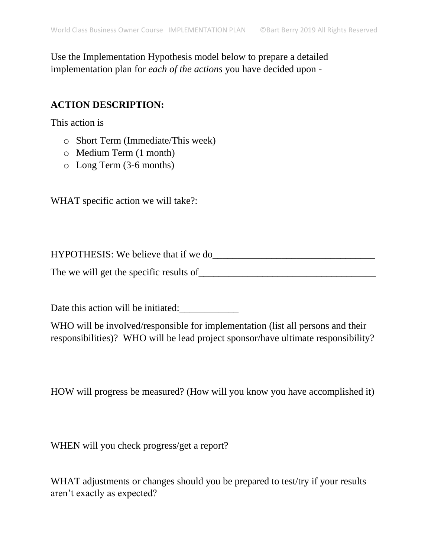Use the Implementation Hypothesis model below to prepare a detailed implementation plan for *each of the actions* you have decided upon -

## **ACTION DESCRIPTION:**

This action is

- o Short Term (Immediate/This week)
- o Medium Term (1 month)
- o Long Term (3-6 months)

WHAT specific action we will take?:

HYPOTHESIS: We believe that if we do\_\_\_\_\_\_\_\_\_\_\_\_\_\_\_\_\_\_\_\_\_\_\_\_\_\_\_\_\_\_\_\_\_

The we will get the specific results of\_\_\_\_\_\_\_\_\_\_\_\_\_\_\_\_\_\_\_\_\_\_\_\_\_\_\_\_\_\_\_\_\_\_\_\_

Date this action will be initiated:

WHO will be involved/responsible for implementation (list all persons and their responsibilities)? WHO will be lead project sponsor/have ultimate responsibility?

HOW will progress be measured? (How will you know you have accomplished it)

WHEN will you check progress/get a report?

WHAT adjustments or changes should you be prepared to test/try if your results aren't exactly as expected?